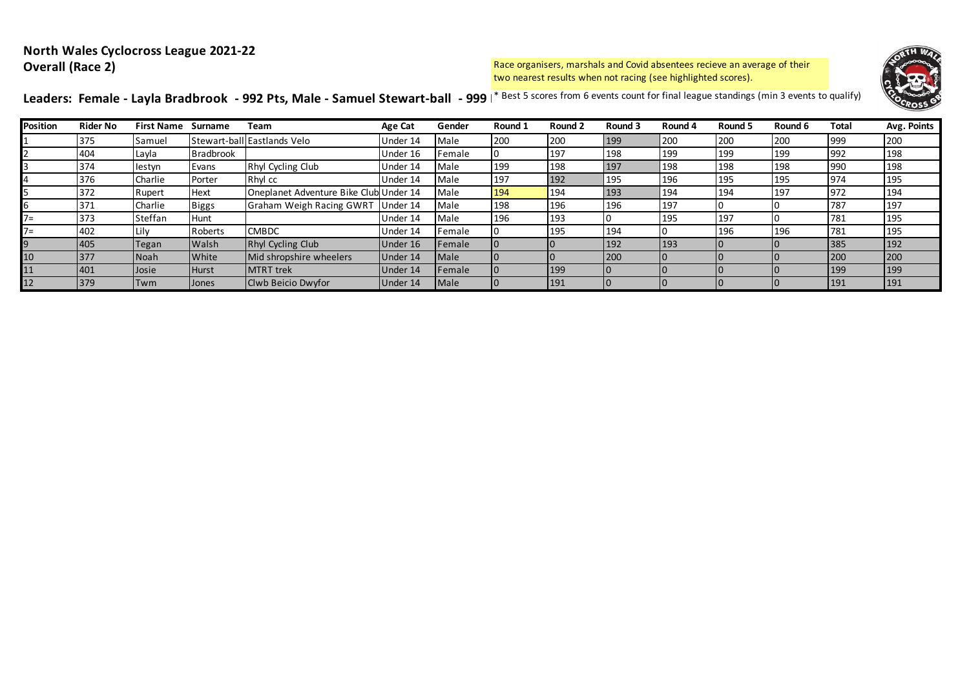## **North Wales Cyclocross League 2021-22 Overall (Race 2)**

Race organisers, marshals and Covid absentees recieve an average of their two nearest results when not racing (see highlighted scores).



Leaders: Female - Layla Bradbrook - 992 Pts, Male - Samuel Stewart-ball - 999 <sup>\*</sup> Best 5 scores from 6 events count for final league standings (min 3 events to qualify)

| <b>Position</b> | <b>Rider No</b> | <b>First Name</b> | Surname          | Team                                   | Age Cat  | Gender        | Round 1 | Round 2    | Round 3 | Round 4 | Round 5 | Round 6 | Total | Avg. Points |
|-----------------|-----------------|-------------------|------------------|----------------------------------------|----------|---------------|---------|------------|---------|---------|---------|---------|-------|-------------|
|                 | 375             | Samuel            |                  | Stewart-ball Eastlands Velo            | Under 14 | Male          | 200     | 200        | 199     | 200     | 200     | 200     | 999   | 200         |
|                 | 404             | Layla             | <b>Bradbrook</b> |                                        | Under 16 | Female        |         | 197        | 198     | 199     | 199     | 199     | 992   | 198         |
|                 | 374             | lestyn            | Evans            | Rhyl Cycling Club                      | Under 14 | Male          | 199     | 198        | 197     | 198     | 198     | 198     | 990   | 198         |
|                 | 376             | Charlie           | Porter           | Rhyl cc                                | Under 14 | Male          | 197     | 192        | 195     | 196     | 195     | 195     | 974   | 195         |
|                 | 372             | Rupert            | <b>Hext</b>      | Oneplanet Adventure Bike Club Under 14 |          | Male          | 194     | 194        | 193     | 194     | 194     | 197     | 972   | 194         |
|                 | 371             | Charlie           | <b>Biggs</b>     | Graham Weigh Racing GWRT               | Under 14 | Male          | 198     | 196        | 196     | 197     |         |         | 787   | 197         |
| 7=              | 373             | Steffan           | <b>Hunt</b>      |                                        | Under 14 | Male          | 196     | 193        |         | 195     | 197     |         | 781   | 195         |
| 7=              | 402             | Lily              | Roberts          | <b>CMBDC</b>                           | Under 14 | Female        |         | 195        | 194     |         | 196     | 196     | 781   | 195         |
|                 | 405             | Tegan             | <b>Walsh</b>     | Rhyl Cycling Club                      | Under 16 | Female        |         |            | 192     | 193     |         |         | 385   | 192         |
| 10              | 377             | Noah              | <b>White</b>     | Mid shropshire wheelers                | Under 14 | <b>I</b> Male |         |            | 200     |         |         |         | 200   | 200         |
| 11              | 401             | Josie             | <b>Hurst</b>     | <b>MTRT</b> trek                       | Under 14 | <b>Female</b> |         | <b>199</b> |         |         |         |         | 199   | 199         |
| 12              | 379             | Twm               | <b>Jones</b>     | Clwb Beicio Dwyfor                     | Under 14 | <b>Male</b>   |         | 191        |         |         |         |         | 191   | 191         |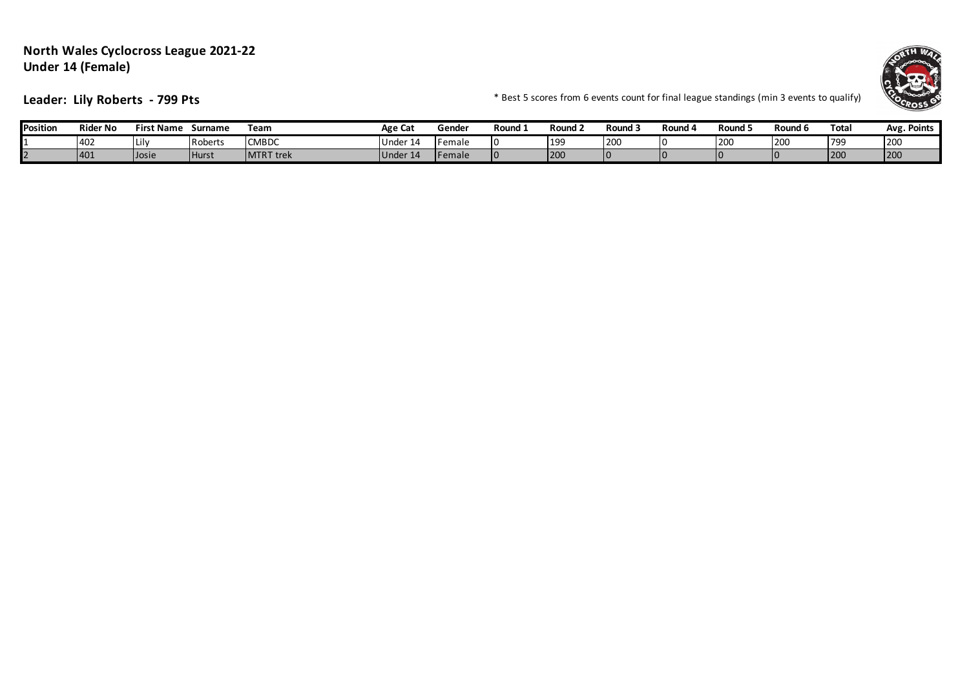## **North Wales Cyclocross League 2021-22 Under 14 (Female)**



**Leader: Lily Roberts - 799 Pts**  $\bullet$  **Leader: Lily Roberts - 799 Pts**  $\bullet$  **Exercises 10 and 10 and 10 and 10 and 10 and 10 and 10 and 10 and 10 and 10 and 10 and 10 and 10 and 10 and 10 and 10 and 10 and 10 and 10 and 10** 

| 'osition | <b>Rider No</b> | <b>First Name</b> | Surname        | Team              | Age Cat                    | Gende. | Round : | Round <sub>←</sub> | Round          | Round 4 | Round 5    | Round <b>c</b> | Tota | <b>Points</b><br>Avg. |
|----------|-----------------|-------------------|----------------|-------------------|----------------------------|--------|---------|--------------------|----------------|---------|------------|----------------|------|-----------------------|
|          | 402             | Lilv              | <b>Roberts</b> | <b>CMBDC</b>      | Under<br>. 14              | Female |         | 199                | 200            |         | <b>200</b> | 200            | 1799 | 200                   |
|          | 401             | Josie             | <b>Hurst</b>   | <b>IMTRT</b> trek | 1Under <sup>1</sup><br>-14 | Female |         | 200                | I <sub>0</sub> |         |            |                | 1200 | 1200                  |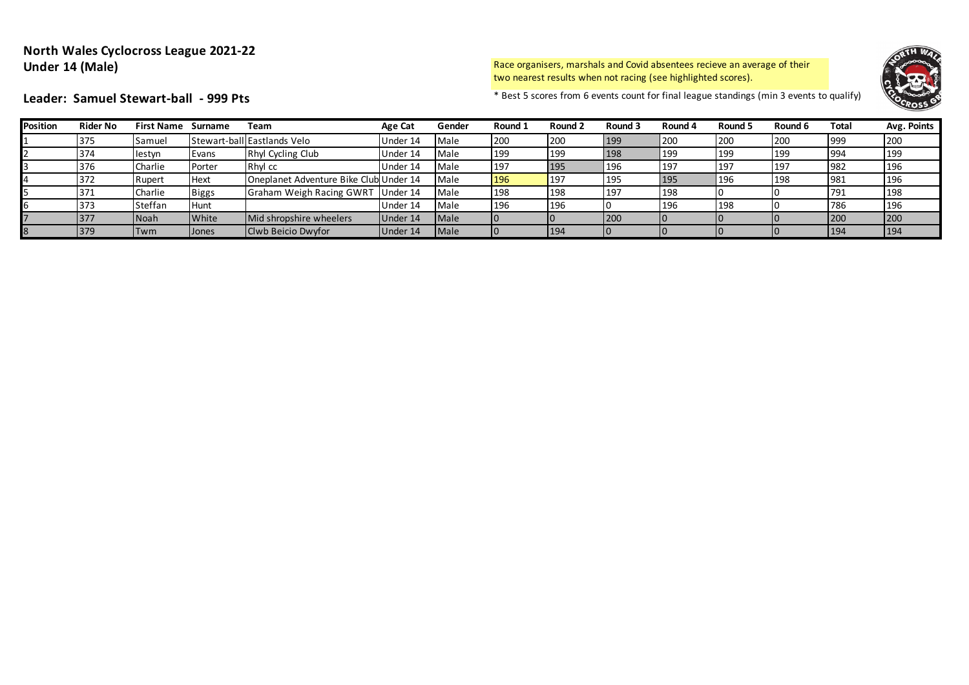## **North Wales Cyclocross League 2021-22 Under 14 (Male)**

Race organisers, marshals and Covid absentees recieve an average of their two nearest results when not racing (see highlighted scores).



Leader: Samuel Stewart-ball - 999 Pts **Exercise 1999 Pts Exercises 1999 Pts Exercises** to a standings (min 3 events to qualify)

|  | ader: Samuel Stewart-ball - 999 Pts |  |
|--|-------------------------------------|--|
|  |                                     |  |

| <b>Position</b> | <b>Rider No</b> | First Name Surname |              | Team                                   | Age Cat  | Gender      | Round 1 | Round 2        | Round 3 | Round 4 | Round 5 | Round 6 | Total | Avg. Points |
|-----------------|-----------------|--------------------|--------------|----------------------------------------|----------|-------------|---------|----------------|---------|---------|---------|---------|-------|-------------|
|                 | 375             | Samuel             |              | Stewart-ball Eastlands Velo            | Under 14 | Male        | 200     | 200            | 199     | 200     | 200     | 200     | 999   | 200         |
|                 | 374             | lestyn             | Evans        | Rhyl Cycling Club                      | Under 14 | Male        | 199     | 199            | 198     | 199     | 199     | 199     | 994   | 199         |
|                 | 376             | Charlie            | Porter       | Rhyl cc                                | Under 14 | Male        | 197     | 195            | 196     | 197     | 1197    | 197     | 982   | 196         |
|                 | 372             | Rupert             | Hext         | Oneplanet Adventure Bike Club Under 14 |          | Male        | 196     | <sup>197</sup> | 195     | 195     | 196     | 198     | 981   | 196         |
|                 | 371             | Charlie            | <b>Biggs</b> | Graham Weigh Racing GWRT               | Under 14 | Male        | 198     | 198            | 197     | 198     |         |         | 791   | 198         |
|                 | 373             | Steffan            | <b>Hunt</b>  |                                        | Under 14 | Male        | 196     | <b>196</b>     | 10      | 196     | 198     |         | 786   | 196         |
|                 | 377             | <b>Noah</b>        | White        | Mid shropshire wheelers                | Under 14 | <b>Male</b> |         |                | 200     |         |         |         | 200   | 200         |
|                 | 379             | <b>ITwm</b>        | Jones        | Clwb Beicio Dwyfor                     | Under 14 | <b>Male</b> |         | 194            | I0      |         |         |         | 194   | 194         |